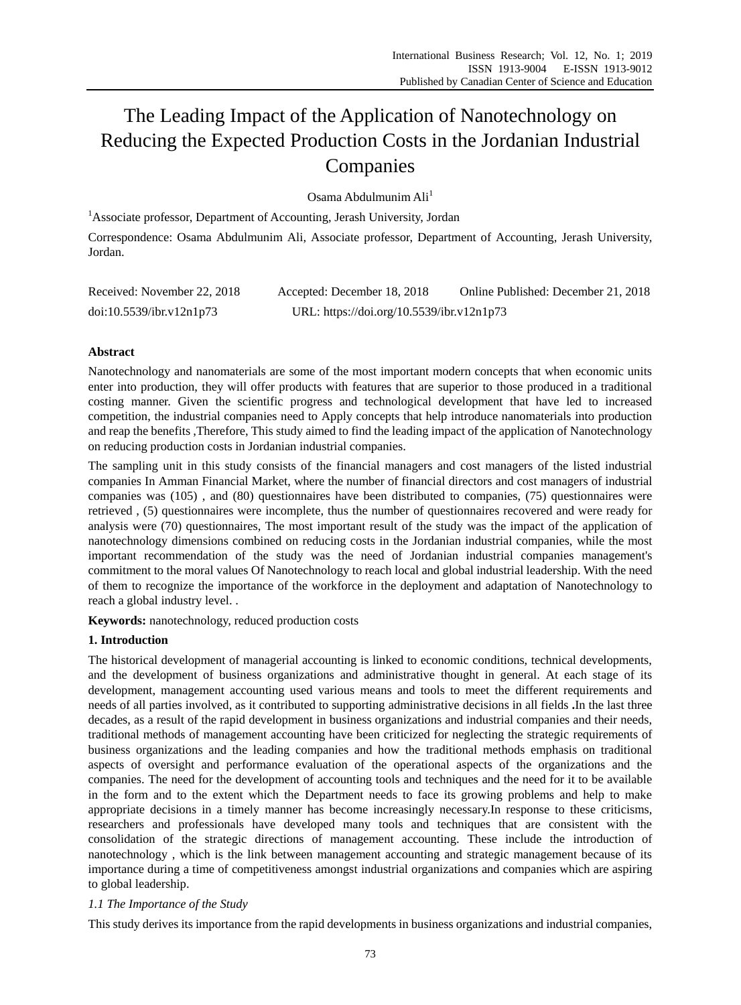# The Leading Impact of the Application of Nanotechnology on Reducing the Expected Production Costs in the Jordanian Industrial Companies

Osama Abdulmunim Ali<sup>1</sup>

<sup>1</sup>Associate professor, Department of Accounting, Jerash University, Jordan Correspondence: Osama Abdulmunim Ali, Associate professor, Department of Accounting, Jerash University, Jordan.

| Received: November 22, 2018 | Accepted: December 18, 2018               | Online Published: December 21, 2018 |
|-----------------------------|-------------------------------------------|-------------------------------------|
| doi:10.5539/ibr.v12n1p73    | URL: https://doi.org/10.5539/ibr.v12n1p73 |                                     |

# **Abstract**

Nanotechnology and nanomaterials are some of the most important modern concepts that when economic units enter into production, they will offer products with features that are superior to those produced in a traditional costing manner. Given the scientific progress and technological development that have led to increased competition, the industrial companies need to Apply concepts that help introduce nanomaterials into production and reap the benefits ,Therefore, This study aimed to find the leading impact of the application of Nanotechnology on reducing production costs in Jordanian industrial companies.

The sampling unit in this study consists of the financial managers and cost managers of the listed industrial companies In Amman Financial Market, where the number of financial directors and cost managers of industrial companies was (105) , and (80) questionnaires have been distributed to companies, (75) questionnaires were retrieved , (5) questionnaires were incomplete, thus the number of questionnaires recovered and were ready for analysis were (70) questionnaires, The most important result of the study was the impact of the application of nanotechnology dimensions combined on reducing costs in the Jordanian industrial companies, while the most important recommendation of the study was the need of Jordanian industrial companies management's commitment to the moral values Of Nanotechnology to reach local and global industrial leadership. With the need of them to recognize the importance of the workforce in the deployment and adaptation of Nanotechnology to reach a global industry level. .

**Keywords:** nanotechnology, reduced production costs

# **1. Introduction**

The historical development of managerial accounting is linked to economic conditions, technical developments, and the development of business organizations and administrative thought in general. At each stage of its development, management accounting used various means and tools to meet the different requirements and needs of all parties involved, as it contributed to supporting administrative decisions in all fields **.**In the last three decades, as a result of the rapid development in business organizations and industrial companies and their needs, traditional methods of management accounting have been criticized for neglecting the strategic requirements of business organizations and the leading companies and how the traditional methods emphasis on traditional aspects of oversight and performance evaluation of the operational aspects of the organizations and the companies. The need for the development of accounting tools and techniques and the need for it to be available in the form and to the extent which the Department needs to face its growing problems and help to make appropriate decisions in a timely manner has become increasingly necessary.In response to these criticisms, researchers and professionals have developed many tools and techniques that are consistent with the consolidation of the strategic directions of management accounting. These include the introduction of nanotechnology , which is the link between management accounting and strategic management because of its importance during a time of competitiveness amongst industrial organizations and companies which are aspiring to global leadership.

# *1.1 The Importance of the Study*

This study derives its importance from the rapid developments in business organizations and industrial companies,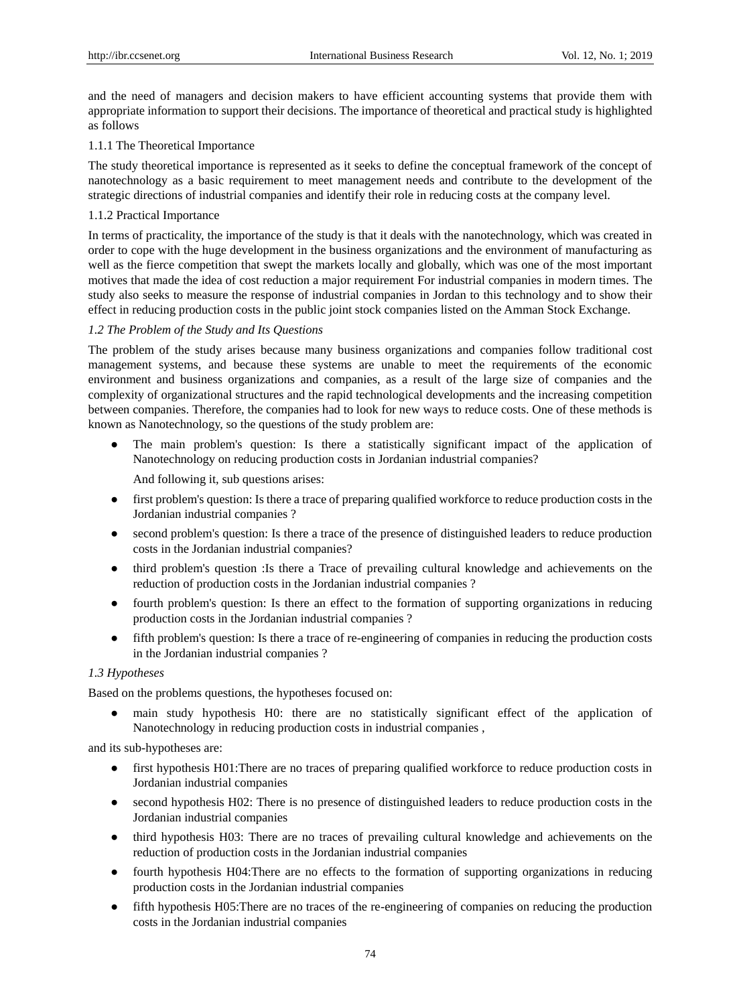and the need of managers and decision makers to have efficient accounting systems that provide them with appropriate information to support their decisions. The importance of theoretical and practical study is highlighted as follows

# 1.1.1 The Theoretical Importance

The study theoretical importance is represented as it seeks to define the conceptual framework of the concept of nanotechnology as a basic requirement to meet management needs and contribute to the development of the strategic directions of industrial companies and identify their role in reducing costs at the company level.

# 1.1.2 Practical Importance

In terms of practicality, the importance of the study is that it deals with the nanotechnology, which was created in order to cope with the huge development in the business organizations and the environment of manufacturing as well as the fierce competition that swept the markets locally and globally, which was one of the most important motives that made the idea of cost reduction a major requirement For industrial companies in modern times. The study also seeks to measure the response of industrial companies in Jordan to this technology and to show their effect in reducing production costs in the public joint stock companies listed on the Amman Stock Exchange.

# *1.2 The Problem of the Study and Its Questions*

The problem of the study arises because many business organizations and companies follow traditional cost management systems, and because these systems are unable to meet the requirements of the economic environment and business organizations and companies, as a result of the large size of companies and the complexity of organizational structures and the rapid technological developments and the increasing competition between companies. Therefore, the companies had to look for new ways to reduce costs. One of these methods is known as Nanotechnology, so the questions of the study problem are:

The main problem's question: Is there a statistically significant impact of the application of Nanotechnology on reducing production costs in Jordanian industrial companies?

And following it, sub questions arises:

- first problem's question: Is there a trace of preparing qualified workforce to reduce production costs in the Jordanian industrial companies ?
- second problem's question: Is there a trace of the presence of distinguished leaders to reduce production costs in the Jordanian industrial companies?
- third problem's question :Is there a Trace of prevailing cultural knowledge and achievements on the reduction of production costs in the Jordanian industrial companies ?
- fourth problem's question: Is there an effect to the formation of supporting organizations in reducing production costs in the Jordanian industrial companies ?
- fifth problem's question: Is there a trace of re-engineering of companies in reducing the production costs in the Jordanian industrial companies ?

## *1.3 Hypotheses*

Based on the problems questions, the hypotheses focused on:

main study hypothesis H0: there are no statistically significant effect of the application of Nanotechnology in reducing production costs in industrial companies ,

and its sub-hypotheses are:

- first hypothesis H01: There are no traces of preparing qualified workforce to reduce production costs in Jordanian industrial companies
- second hypothesis H02: There is no presence of distinguished leaders to reduce production costs in the Jordanian industrial companies
- third hypothesis H03: There are no traces of prevailing cultural knowledge and achievements on the reduction of production costs in the Jordanian industrial companies
- fourth hypothesis H04:There are no effects to the formation of supporting organizations in reducing production costs in the Jordanian industrial companies
- fifth hypothesis H05:There are no traces of the re-engineering of companies on reducing the production costs in the Jordanian industrial companies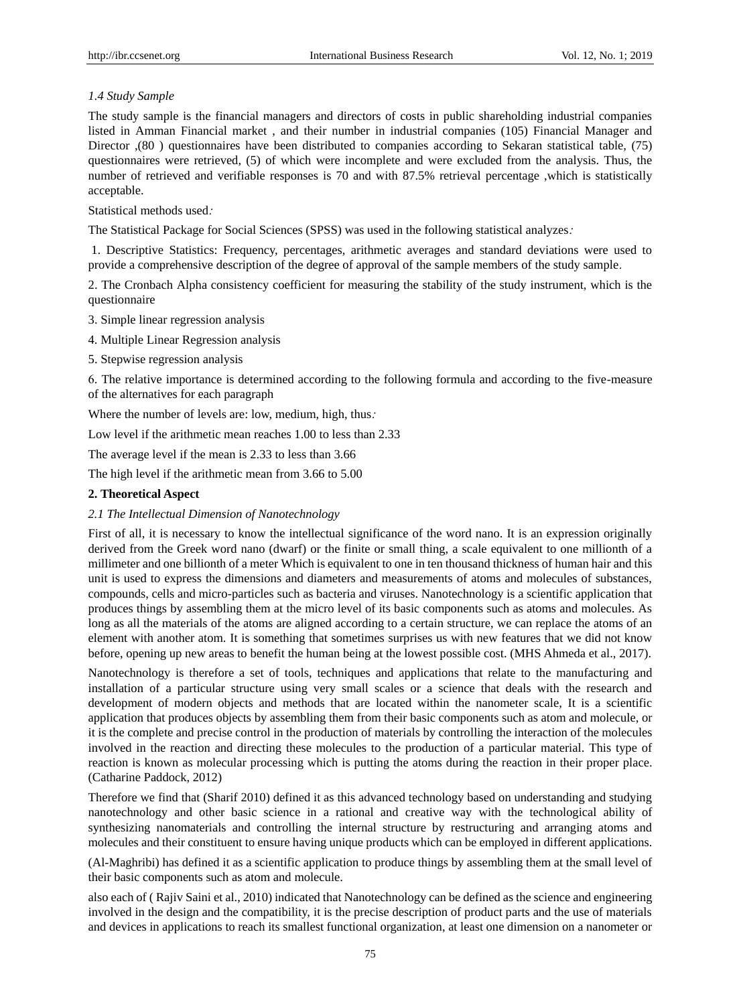# *1.4 Study Sample*

The study sample is the financial managers and directors of costs in public shareholding industrial companies listed in Amman Financial market , and their number in industrial companies (105) Financial Manager and Director ,(80 ) questionnaires have been distributed to companies according to Sekaran statistical table, (75) questionnaires were retrieved, (5) of which were incomplete and were excluded from the analysis. Thus, the number of retrieved and verifiable responses is 70 and with 87.5% retrieval percentage ,which is statistically acceptable.

Statistical methods used:

The Statistical Package for Social Sciences (SPSS) was used in the following statistical analyzes:

1. Descriptive Statistics: Frequency, percentages, arithmetic averages and standard deviations were used to provide a comprehensive description of the degree of approval of the sample members of the study sample.

2. The Cronbach Alpha consistency coefficient for measuring the stability of the study instrument, which is the questionnaire

3. Simple linear regression analysis

4. Multiple Linear Regression analysis

5. Stepwise regression analysis

6. The relative importance is determined according to the following formula and according to the five-measure of the alternatives for each paragraph

Where the number of levels are: low, medium, high, thus:

Low level if the arithmetic mean reaches 1.00 to less than 2.33

The average level if the mean is 2.33 to less than 3.66

The high level if the arithmetic mean from 3.66 to 5.00

## **2. Theoretical Aspect**

#### *2.1 The Intellectual Dimension of Nanotechnology*

First of all, it is necessary to know the intellectual significance of the word nano. It is an expression originally derived from the Greek word nano (dwarf) or the finite or small thing, a scale equivalent to one millionth of a millimeter and one billionth of a meter Which is equivalent to one in ten thousand thickness of human hair and this unit is used to express the dimensions and diameters and measurements of atoms and molecules of substances, compounds, cells and micro-particles such as bacteria and viruses. Nanotechnology is a scientific application that produces things by assembling them at the micro level of its basic components such as atoms and molecules. As long as all the materials of the atoms are aligned according to a certain structure, we can replace the atoms of an element with another atom. It is something that sometimes surprises us with new features that we did not know before, opening up new areas to benefit the human being at the lowest possible cost. (MHS Ahmeda et al., 2017).

Nanotechnology is therefore a set of tools, techniques and applications that relate to the manufacturing and installation of a particular structure using very small scales or a science that deals with the research and development of modern objects and methods that are located within the nanometer scale, It is a scientific application that produces objects by assembling them from their basic components such as atom and molecule, or it is the complete and precise control in the production of materials by controlling the interaction of the molecules involved in the reaction and directing these molecules to the production of a particular material. This type of reaction is known as molecular processing which is putting the atoms during the reaction in their proper place. (Catharine Paddock, 2012)

Therefore we find that (Sharif 2010) defined it as this advanced technology based on understanding and studying nanotechnology and other basic science in a rational and creative way with the technological ability of synthesizing nanomaterials and controlling the internal structure by restructuring and arranging atoms and molecules and their constituent to ensure having unique products which can be employed in different applications.

(Al-Maghribi) has defined it as a scientific application to produce things by assembling them at the small level of their basic components such as atom and molecule.

also each of ( Rajiv Saini et al., 2010) indicated that Nanotechnology can be defined as the science and engineering involved in the design and the compatibility, it is the precise description of product parts and the use of materials and devices in applications to reach its smallest functional organization, at least one dimension on a nanometer or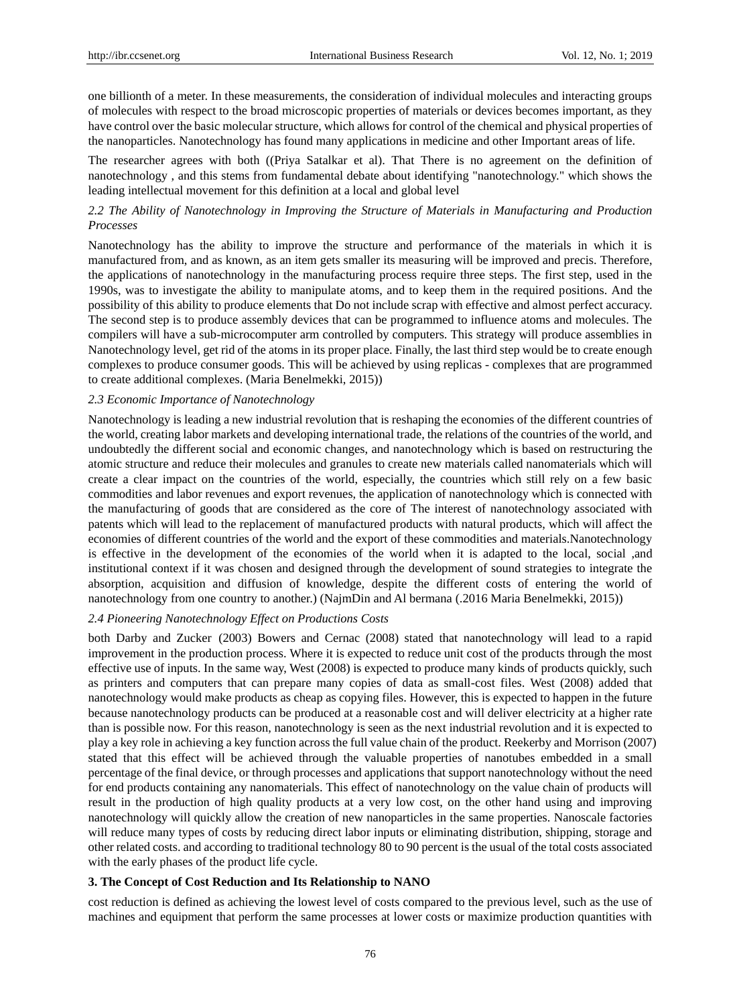one billionth of a meter. In these measurements, the consideration of individual molecules and interacting groups of molecules with respect to the broad microscopic properties of materials or devices becomes important, as they have control over the basic molecular structure, which allows for control of the chemical and physical properties of the nanoparticles. Nanotechnology has found many applications in medicine and other Important areas of life.

The researcher agrees with both ((Priya Satalkar et al). That There is no agreement on the definition of nanotechnology , and this stems from fundamental debate about identifying "nanotechnology." which shows the leading intellectual movement for this definition at a local and global level

# *2.2 The Ability of Nanotechnology in Improving the Structure of Materials in Manufacturing and Production Processes*

Nanotechnology has the ability to improve the structure and performance of the materials in which it is manufactured from, and as known, as an item gets smaller its measuring will be improved and precis. Therefore, the applications of nanotechnology in the manufacturing process require three steps. The first step, used in the 1990s, was to investigate the ability to manipulate atoms, and to keep them in the required positions. And the possibility of this ability to produce elements that Do not include scrap with effective and almost perfect accuracy. The second step is to produce assembly devices that can be programmed to influence atoms and molecules. The compilers will have a sub-microcomputer arm controlled by computers. This strategy will produce assemblies in Nanotechnology level, get rid of the atoms in its proper place. Finally, the last third step would be to create enough complexes to produce consumer goods. This will be achieved by using replicas - complexes that are programmed to create additional complexes. (Maria Benelmekki, 2015))

#### *2.3 Economic Importance of Nanotechnology*

Nanotechnology is leading a new industrial revolution that is reshaping the economies of the different countries of the world, creating labor markets and developing international trade, the relations of the countries of the world, and undoubtedly the different social and economic changes, and nanotechnology which is based on restructuring the atomic structure and reduce their molecules and granules to create new materials called nanomaterials which will create a clear impact on the countries of the world, especially, the countries which still rely on a few basic commodities and labor revenues and export revenues, the application of nanotechnology which is connected with the manufacturing of goods that are considered as the core of The interest of nanotechnology associated with patents which will lead to the replacement of manufactured products with natural products, which will affect the economies of different countries of the world and the export of these commodities and materials.Nanotechnology is effective in the development of the economies of the world when it is adapted to the local, social ,and institutional context if it was chosen and designed through the development of sound strategies to integrate the absorption, acquisition and diffusion of knowledge, despite the different costs of entering the world of nanotechnology from one country to another.) (NajmDin and Al bermana (.2016 Maria Benelmekki, 2015))

#### *2.4 Pioneering Nanotechnology Effect on Productions Costs*

both Darby and Zucker (2003) Bowers and Cernac (2008) stated that nanotechnology will lead to a rapid improvement in the production process. Where it is expected to reduce unit cost of the products through the most effective use of inputs. In the same way, West (2008) is expected to produce many kinds of products quickly, such as printers and computers that can prepare many copies of data as small-cost files. West (2008) added that nanotechnology would make products as cheap as copying files. However, this is expected to happen in the future because nanotechnology products can be produced at a reasonable cost and will deliver electricity at a higher rate than is possible now. For this reason, nanotechnology is seen as the next industrial revolution and it is expected to play a key role in achieving a key function across the full value chain of the product. Reekerby and Morrison (2007) stated that this effect will be achieved through the valuable properties of nanotubes embedded in a small percentage of the final device, or through processes and applications that support nanotechnology without the need for end products containing any nanomaterials. This effect of nanotechnology on the value chain of products will result in the production of high quality products at a very low cost, on the other hand using and improving nanotechnology will quickly allow the creation of new nanoparticles in the same properties. Nanoscale factories will reduce many types of costs by reducing direct labor inputs or eliminating distribution, shipping, storage and other related costs. and according to traditional technology 80 to 90 percent is the usual of the total costs associated with the early phases of the product life cycle.

#### **3. The Concept of Cost Reduction and Its Relationship to NANO**

cost reduction is defined as achieving the lowest level of costs compared to the previous level, such as the use of machines and equipment that perform the same processes at lower costs or maximize production quantities with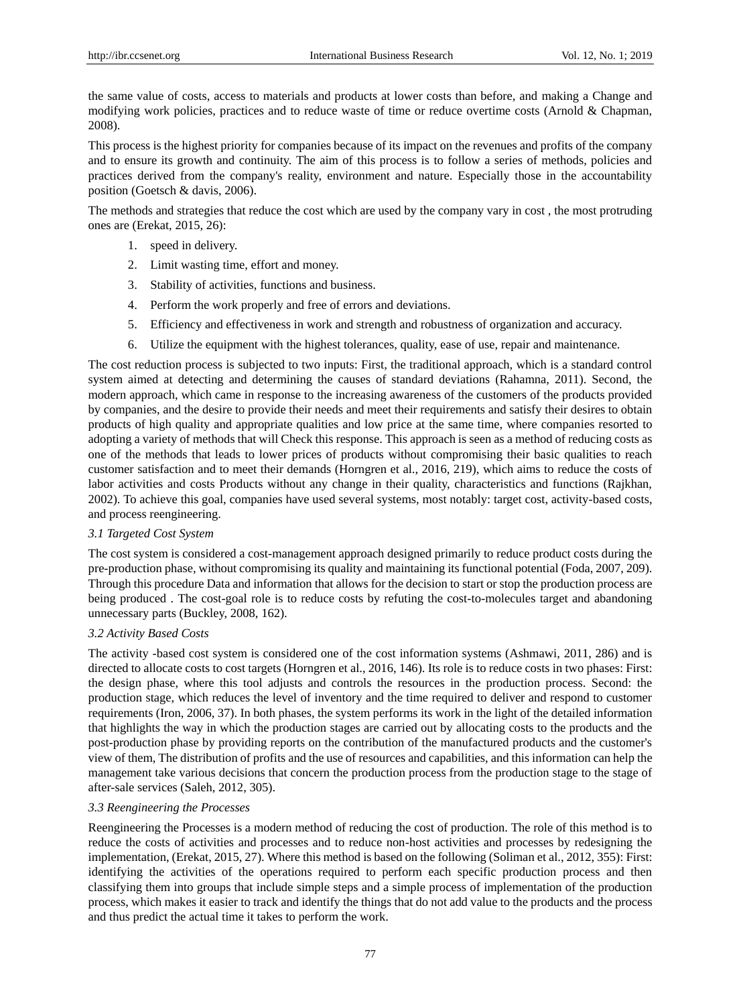the same value of costs, access to materials and products at lower costs than before, and making a Change and modifying work policies, practices and to reduce waste of time or reduce overtime costs (Arnold & Chapman, 2008).

This process is the highest priority for companies because of its impact on the revenues and profits of the company and to ensure its growth and continuity. The aim of this process is to follow a series of methods, policies and practices derived from the company's reality, environment and nature. Especially those in the accountability position (Goetsch & davis, 2006).

The methods and strategies that reduce the cost which are used by the company vary in cost , the most protruding ones are (Erekat, 2015, 26):

- 1. speed in delivery.
- 2. Limit wasting time, effort and money.
- 3. Stability of activities, functions and business.
- 4. Perform the work properly and free of errors and deviations.
- 5. Efficiency and effectiveness in work and strength and robustness of organization and accuracy.
- 6. Utilize the equipment with the highest tolerances, quality, ease of use, repair and maintenance.

The cost reduction process is subjected to two inputs: First, the traditional approach, which is a standard control system aimed at detecting and determining the causes of standard deviations (Rahamna, 2011). Second, the modern approach, which came in response to the increasing awareness of the customers of the products provided by companies, and the desire to provide their needs and meet their requirements and satisfy their desires to obtain products of high quality and appropriate qualities and low price at the same time, where companies resorted to adopting a variety of methods that will Check this response. This approach is seen as a method of reducing costs as one of the methods that leads to lower prices of products without compromising their basic qualities to reach customer satisfaction and to meet their demands (Horngren et al., 2016, 219), which aims to reduce the costs of labor activities and costs Products without any change in their quality, characteristics and functions (Rajkhan, 2002). To achieve this goal, companies have used several systems, most notably: target cost, activity-based costs, and process reengineering.

## *3.1 Targeted Cost System*

The cost system is considered a cost-management approach designed primarily to reduce product costs during the pre-production phase, without compromising its quality and maintaining its functional potential (Foda, 2007, 209). Through this procedure Data and information that allows for the decision to start or stop the production process are being produced . The cost-goal role is to reduce costs by refuting the cost-to-molecules target and abandoning unnecessary parts (Buckley, 2008, 162).

## *3.2 Activity Based Costs*

The activity -based cost system is considered one of the cost information systems (Ashmawi, 2011, 286) and is directed to allocate costs to cost targets (Horngren et al., 2016, 146). Its role is to reduce costs in two phases: First: the design phase, where this tool adjusts and controls the resources in the production process. Second: the production stage, which reduces the level of inventory and the time required to deliver and respond to customer requirements (Iron, 2006, 37). In both phases, the system performs its work in the light of the detailed information that highlights the way in which the production stages are carried out by allocating costs to the products and the post-production phase by providing reports on the contribution of the manufactured products and the customer's view of them, The distribution of profits and the use of resources and capabilities, and this information can help the management take various decisions that concern the production process from the production stage to the stage of after-sale services (Saleh, 2012, 305).

## *3.3 Reengineering the Processes*

Reengineering the Processes is a modern method of reducing the cost of production. The role of this method is to reduce the costs of activities and processes and to reduce non-host activities and processes by redesigning the implementation, (Erekat, 2015, 27). Where this method is based on the following (Soliman et al., 2012, 355): First: identifying the activities of the operations required to perform each specific production process and then classifying them into groups that include simple steps and a simple process of implementation of the production process, which makes it easier to track and identify the things that do not add value to the products and the process and thus predict the actual time it takes to perform the work.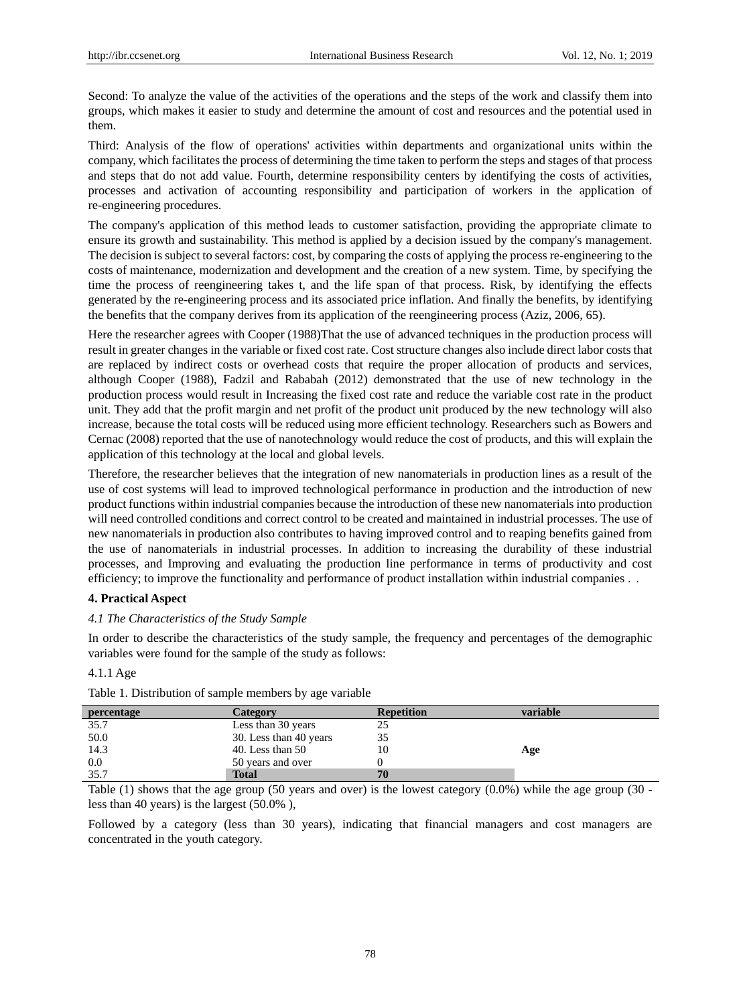Second: To analyze the value of the activities of the operations and the steps of the work and classify them into groups, which makes it easier to study and determine the amount of cost and resources and the potential used in them.

Third: Analysis of the flow of operations' activities within departments and organizational units within the company, which facilitates the process of determining the time taken to perform the steps and stages of that process and steps that do not add value. Fourth, determine responsibility centers by identifying the costs of activities, processes and activation of accounting responsibility and participation of workers in the application of re-engineering procedures.

The company's application of this method leads to customer satisfaction, providing the appropriate climate to ensure its growth and sustainability. This method is applied by a decision issued by the company's management. The decision is subject to several factors: cost, by comparing the costs of applying the process re-engineering to the costs of maintenance, modernization and development and the creation of a new system. Time, by specifying the time the process of reengineering takes t, and the life span of that process. Risk, by identifying the effects generated by the re-engineering process and its associated price inflation. And finally the benefits, by identifying the benefits that the company derives from its application of the reengineering process (Aziz, 2006, 65).

Here the researcher agrees with Cooper (1988)That the use of advanced techniques in the production process will result in greater changes in the variable or fixed cost rate. Cost structure changes also include direct labor costs that are replaced by indirect costs or overhead costs that require the proper allocation of products and services, although Cooper (1988), Fadzil and Rababah (2012) demonstrated that the use of new technology in the production process would result in Increasing the fixed cost rate and reduce the variable cost rate in the product unit. They add that the profit margin and net profit of the product unit produced by the new technology will also increase, because the total costs will be reduced using more efficient technology. Researchers such as Bowers and Cernac (2008) reported that the use of nanotechnology would reduce the cost of products, and this will explain the application of this technology at the local and global levels.

Therefore, the researcher believes that the integration of new nanomaterials in production lines as a result of the use of cost systems will lead to improved technological performance in production and the introduction of new product functions within industrial companies because the introduction of these new nanomaterials into production will need controlled conditions and correct control to be created and maintained in industrial processes. The use of new nanomaterials in production also contributes to having improved control and to reaping benefits gained from the use of nanomaterials in industrial processes. In addition to increasing the durability of these industrial processes, and Improving and evaluating the production line performance in terms of productivity and cost efficiency; to improve the functionality and performance of product installation within industrial companies . .

## **4. Practical Aspect**

#### *4.1 The Characteristics of the Study Sample*

In order to describe the characteristics of the study sample, the frequency and percentages of the demographic variables were found for the sample of the study as follows:

## 4.1.1 Age

| percentage | Category               | <b>Repetition</b> | variable |
|------------|------------------------|-------------------|----------|
| 35.7       | Less than 30 years     |                   |          |
| 50.0       | 30. Less than 40 years |                   |          |
| 14.3       | 40. Less than $50$     | 10                | Age      |
| 0.0        | 50 years and over      |                   |          |
| 35.7       | <b>Total</b>           | 70                |          |

Table 1. Distribution of sample members by age variable

Table (1) shows that the age group (50 years and over) is the lowest category (0.0%) while the age group (30 less than 40 years) is the largest (50.0% ),

Followed by a category (less than 30 years), indicating that financial managers and cost managers are concentrated in the youth category.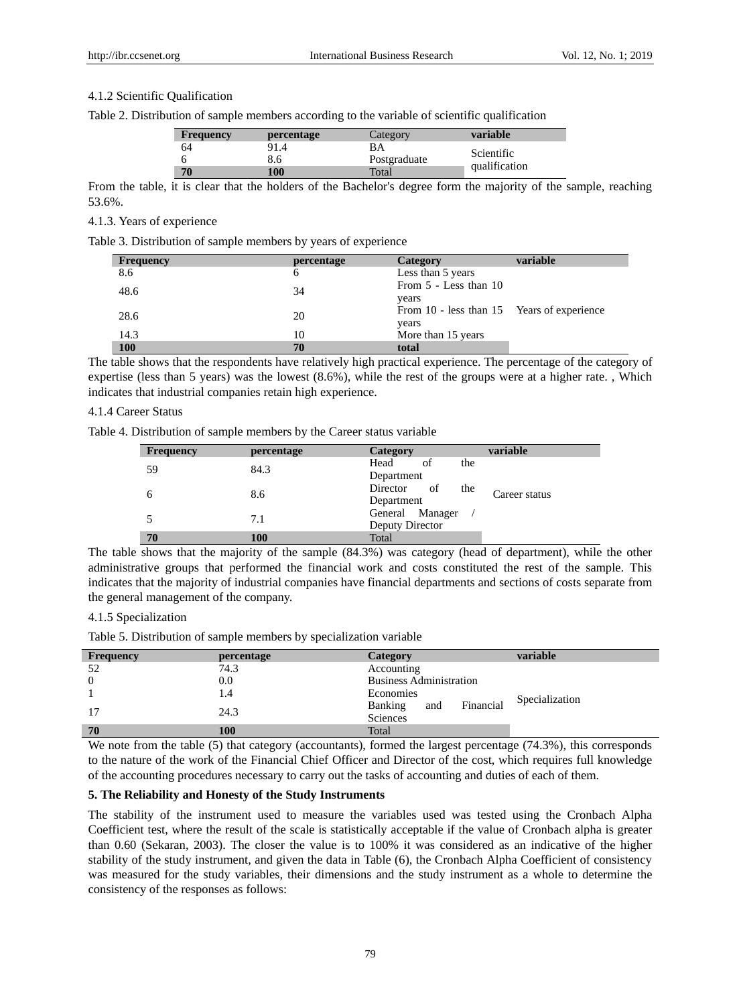#### 4.1.2 Scientific Qualification

| <b>Frequency</b> | <i>percentage</i> | Category     | variable      |
|------------------|-------------------|--------------|---------------|
| 64               | 91.4              | ВA           | Scientific    |
|                  | 8.6               | Postgraduate |               |
| 70               | 100               | Total        | qualification |

From the table, it is clear that the holders of the Bachelor's degree form the majority of the sample, reaching 53.6%.

## 4.1.3. Years of experience

Table 3. Distribution of sample members by years of experience

| <b>Frequency</b> | percentage | Category                                   | variable |
|------------------|------------|--------------------------------------------|----------|
| 8.6              | 6          | Less than 5 years                          |          |
| 48.6             | 34         | From 5 - Less than 10                      |          |
|                  |            | years                                      |          |
| 28.6             | 20         | From 10 - less than 15 Years of experience |          |
|                  |            | years                                      |          |
| 14.3             | 10         | More than 15 years                         |          |
| <b>100</b>       | 70         | total                                      |          |

The table shows that the respondents have relatively high practical experience. The percentage of the category of expertise (less than 5 years) was the lowest (8.6%), while the rest of the groups were at a higher rate. , Which indicates that industrial companies retain high experience.

#### 4.1.4 Career Status

Table 4. Distribution of sample members by the Career status variable

| <b>Frequency</b> | percentage | variable<br>Category                   |  |
|------------------|------------|----------------------------------------|--|
| 59               | 84.3       | Head<br>of<br>the                      |  |
|                  |            | Department                             |  |
|                  | 8.6        | Director<br>of<br>the<br>Career status |  |
|                  |            | Department                             |  |
|                  | 7.1        | General Manager                        |  |
|                  |            | Deputy Director                        |  |
| 70               | 100        | Total                                  |  |

The table shows that the majority of the sample (84.3%) was category (head of department), while the other administrative groups that performed the financial work and costs constituted the rest of the sample. This indicates that the majority of industrial companies have financial departments and sections of costs separate from the general management of the company.

## 4.1.5 Specialization

Table 5. Distribution of sample members by specialization variable

| <b>Frequency</b> | percentage | Category                       | variable       |
|------------------|------------|--------------------------------|----------------|
| 52               | 74.3       | Accounting                     |                |
| $\overline{0}$   | 0.0        | <b>Business Administration</b> |                |
|                  | 1.4        | Economies                      |                |
| 17               | 24.3       | Financial<br>Banking<br>and    | Specialization |
|                  |            | Sciences                       |                |
| 70               | 100        | Total                          |                |

We note from the table (5) that category (accountants), formed the largest percentage (74.3%), this corresponds to the nature of the work of the Financial Chief Officer and Director of the cost, which requires full knowledge of the accounting procedures necessary to carry out the tasks of accounting and duties of each of them.

#### **5. The Reliability and Honesty of the Study Instruments**

The stability of the instrument used to measure the variables used was tested using the Cronbach Alpha Coefficient test, where the result of the scale is statistically acceptable if the value of Cronbach alpha is greater than 0.60 (Sekaran, 2003). The closer the value is to 100% it was considered as an indicative of the higher stability of the study instrument, and given the data in Table (6), the Cronbach Alpha Coefficient of consistency was measured for the study variables, their dimensions and the study instrument as a whole to determine the consistency of the responses as follows: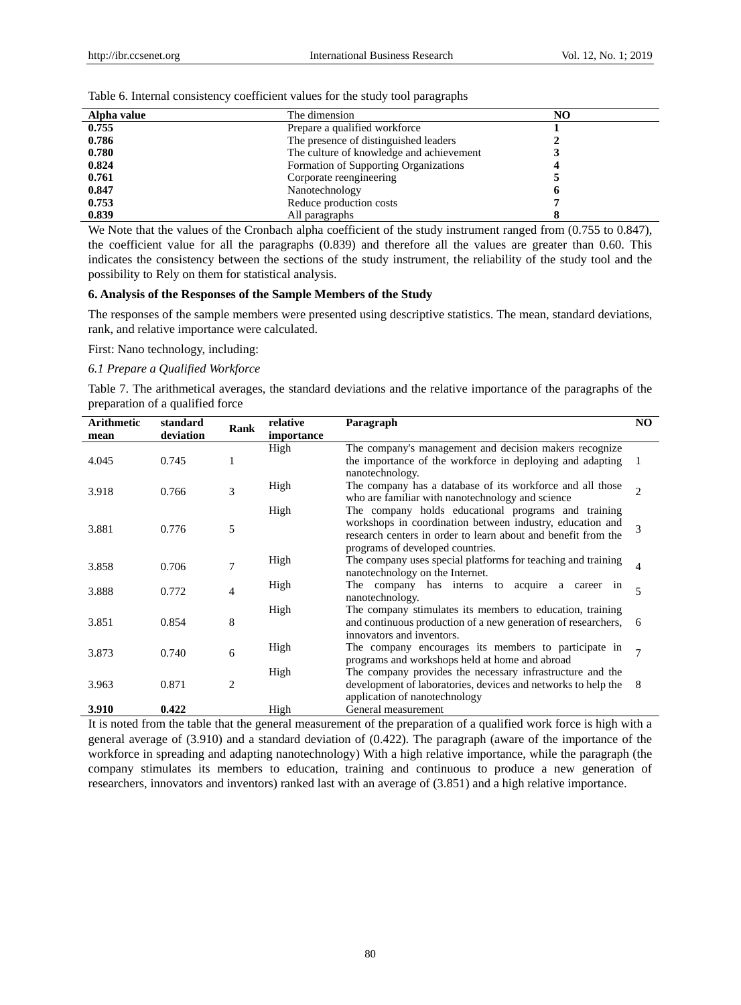| Alpha value | The dimension                            | NO |  |
|-------------|------------------------------------------|----|--|
| 0.755       | Prepare a qualified workforce            |    |  |
| 0.786       | The presence of distinguished leaders    |    |  |
| 0.780       | The culture of knowledge and achievement |    |  |
| 0.824       | Formation of Supporting Organizations    |    |  |
| 0.761       | Corporate reengineering                  |    |  |
| 0.847       | Nanotechnology                           |    |  |
| 0.753       | Reduce production costs                  |    |  |
| 0.839       | All paragraphs                           |    |  |

Table 6. Internal consistency coefficient values for the study tool paragraphs

We Note that the values of the Cronbach alpha coefficient of the study instrument ranged from (0.755 to 0.847), the coefficient value for all the paragraphs (0.839) and therefore all the values are greater than 0.60. This indicates the consistency between the sections of the study instrument, the reliability of the study tool and the possibility to Rely on them for statistical analysis.

## **6. Analysis of the Responses of the Sample Members of the Study**

The responses of the sample members were presented using descriptive statistics. The mean, standard deviations, rank, and relative importance were calculated.

First: Nano technology, including:

## *6.1 Prepare a Qualified Workforce*

Table 7. The arithmetical averages, the standard deviations and the relative importance of the paragraphs of the preparation of a qualified force

| <b>Arithmetic</b> | standard  | Rank           | relative   | Paragraph                                                     | NO.                         |
|-------------------|-----------|----------------|------------|---------------------------------------------------------------|-----------------------------|
| mean              | deviation |                | importance |                                                               |                             |
|                   |           |                | High       | The company's management and decision makers recognize        |                             |
| 4.045             | 0.745     |                |            | the importance of the workforce in deploying and adapting     |                             |
|                   |           |                |            | nanotechnology.                                               |                             |
|                   |           | 3              | High       | The company has a database of its workforce and all those     | $\mathcal{D}_{\mathcal{L}}$ |
| 3.918             | 0.766     |                |            | who are familiar with nanotechnology and science              |                             |
|                   |           |                | High       | The company holds educational programs and training           |                             |
|                   |           |                |            | workshops in coordination between industry, education and     | $\mathcal{E}$               |
| 3.881             | 0.776     | 5              |            | research centers in order to learn about and benefit from the |                             |
|                   |           |                |            | programs of developed countries.                              |                             |
|                   |           |                | High       | The company uses special platforms for teaching and training  |                             |
| 3.858             | 0.706     | $\overline{7}$ |            | nanotechnology on the Internet.                               | 4                           |
|                   |           |                | High       | The company has interns to acquire a career in                | $\overline{5}$              |
| 3.888             | 0.772     | 4              |            | nanotechnology.                                               |                             |
|                   |           |                | High       | The company stimulates its members to education, training     |                             |
| 3.851             | 0.854     | 8              |            | and continuous production of a new generation of researchers, | -6                          |
|                   |           |                |            | innovators and inventors.                                     |                             |
|                   |           |                | High       | The company encourages its members to participate in          | $\mathcal{I}$               |
| 3.873             | 0.740     | 6              |            | programs and workshops held at home and abroad                |                             |
|                   |           |                | High       | The company provides the necessary infrastructure and the     |                             |
| 3.963             | 0.871     | $\overline{2}$ |            | development of laboratories, devices and networks to help the | 8                           |
|                   |           |                |            | application of nanotechnology                                 |                             |
| 3.910             | 0.422     |                | High       | General measurement                                           |                             |

It is noted from the table that the general measurement of the preparation of a qualified work force is high with a general average of (3.910) and a standard deviation of (0.422). The paragraph (aware of the importance of the workforce in spreading and adapting nanotechnology) With a high relative importance, while the paragraph (the company stimulates its members to education, training and continuous to produce a new generation of researchers, innovators and inventors) ranked last with an average of (3.851) and a high relative importance.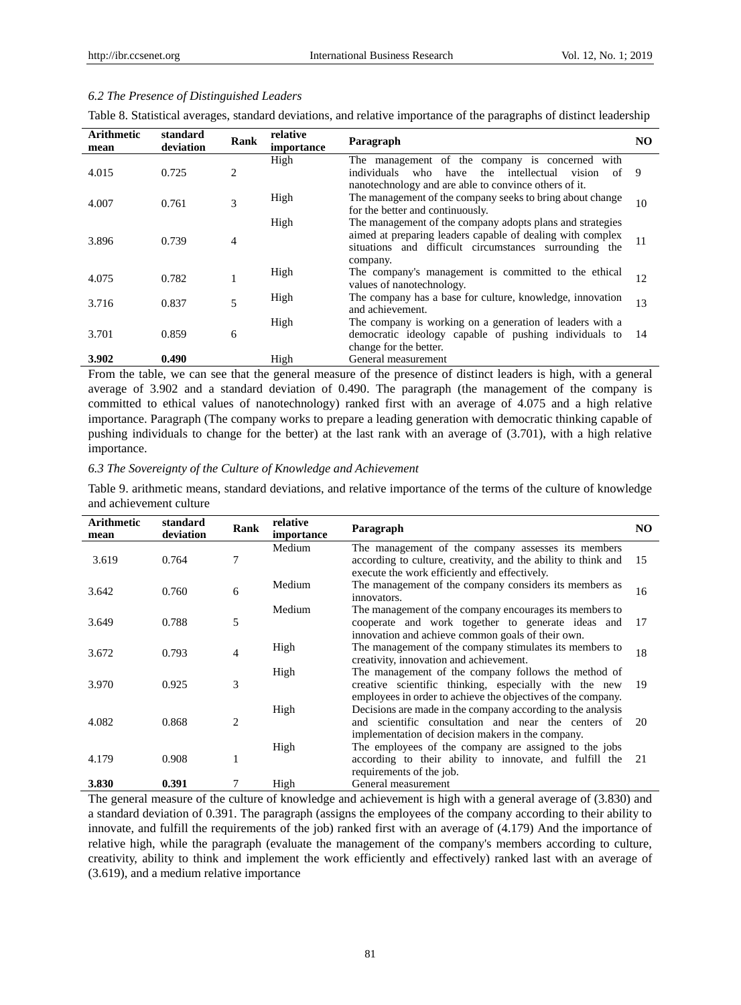### *6.2 The Presence of Distinguished Leaders*

Table 8. Statistical averages, standard deviations, and relative importance of the paragraphs of distinct leadership

| <b>Arithmetic</b><br>mean | standard<br>deviation | <b>Rank</b> | relative<br>importance | Paragraph                                                                                                                                                                                     | NO. |
|---------------------------|-----------------------|-------------|------------------------|-----------------------------------------------------------------------------------------------------------------------------------------------------------------------------------------------|-----|
| 4.015                     | 0.725                 | 2           | High                   | The management of the company is concerned with<br>intellectual<br>individuals<br>who<br>have<br>the<br>vision<br>of<br>nanotechnology and are able to convince others of it.                 | - 9 |
| 4.007                     | 0.761                 | 3           | High                   | The management of the company seeks to bring about change<br>for the better and continuously.                                                                                                 | 10  |
| 3.896                     | 0.739                 | 4           | High                   | The management of the company adopts plans and strategies<br>aimed at preparing leaders capable of dealing with complex<br>situations and difficult circumstances surrounding the<br>company. | 11  |
| 4.075                     | 0.782                 |             | High                   | The company's management is committed to the ethical<br>values of nanotechnology.                                                                                                             | 12  |
| 3.716                     | 0.837                 | 5           | High                   | The company has a base for culture, knowledge, innovation<br>and achievement.                                                                                                                 | 13  |
| 3.701                     | 0.859                 | 6           | High                   | The company is working on a generation of leaders with a<br>democratic ideology capable of pushing individuals to<br>change for the better.                                                   | 14  |
| 3.902                     | 0.490                 |             | High                   | General measurement                                                                                                                                                                           |     |

From the table, we can see that the general measure of the presence of distinct leaders is high, with a general average of 3.902 and a standard deviation of 0.490. The paragraph (the management of the company is committed to ethical values of nanotechnology) ranked first with an average of 4.075 and a high relative importance. Paragraph (The company works to prepare a leading generation with democratic thinking capable of pushing individuals to change for the better) at the last rank with an average of (3.701), with a high relative importance.

#### *6.3 The Sovereignty of the Culture of Knowledge and Achievement*

| <b>Arithmetic</b><br>mean | standard<br>deviation | Rank           | relative<br>importance | Paragraph                                                                                                                                                                    | NO. |
|---------------------------|-----------------------|----------------|------------------------|------------------------------------------------------------------------------------------------------------------------------------------------------------------------------|-----|
| 3.619                     | 0.764                 |                | Medium                 | The management of the company assesses its members<br>according to culture, creativity, and the ability to think and<br>execute the work efficiently and effectively.        | 15  |
| 3.642                     | 0.760                 | 6              | Medium                 | The management of the company considers its members as<br>innovators.                                                                                                        | 16  |
| 3.649                     | 0.788                 | 5              | Medium                 | The management of the company encourages its members to<br>cooperate and work together to generate ideas and<br>innovation and achieve common goals of their own.            | 17  |
| 3.672                     | 0.793                 | 4              | High                   | The management of the company stimulates its members to<br>creativity, innovation and achievement.                                                                           | 18  |
| 3.970                     | 0.925                 | 3              | High                   | The management of the company follows the method of<br>creative scientific thinking, especially with the new<br>employees in order to achieve the objectives of the company. | 19  |
| 4.082                     | 0.868                 | $\overline{c}$ | High                   | Decisions are made in the company according to the analysis<br>and scientific consultation and near the centers of<br>implementation of decision makers in the company.      | 20  |
| 4.179                     | 0.908                 |                | High                   | The employees of the company are assigned to the jobs<br>according to their ability to innovate, and fulfill the<br>requirements of the job.                                 | 21  |
| 3.830                     | 0.391                 |                | High                   | General measurement                                                                                                                                                          |     |

Table 9. arithmetic means, standard deviations, and relative importance of the terms of the culture of knowledge and achievement culture

The general measure of the culture of knowledge and achievement is high with a general average of (3.830) and a standard deviation of 0.391. The paragraph (assigns the employees of the company according to their ability to innovate, and fulfill the requirements of the job) ranked first with an average of (4.179) And the importance of relative high, while the paragraph (evaluate the management of the company's members according to culture, creativity, ability to think and implement the work efficiently and effectively) ranked last with an average of (3.619), and a medium relative importance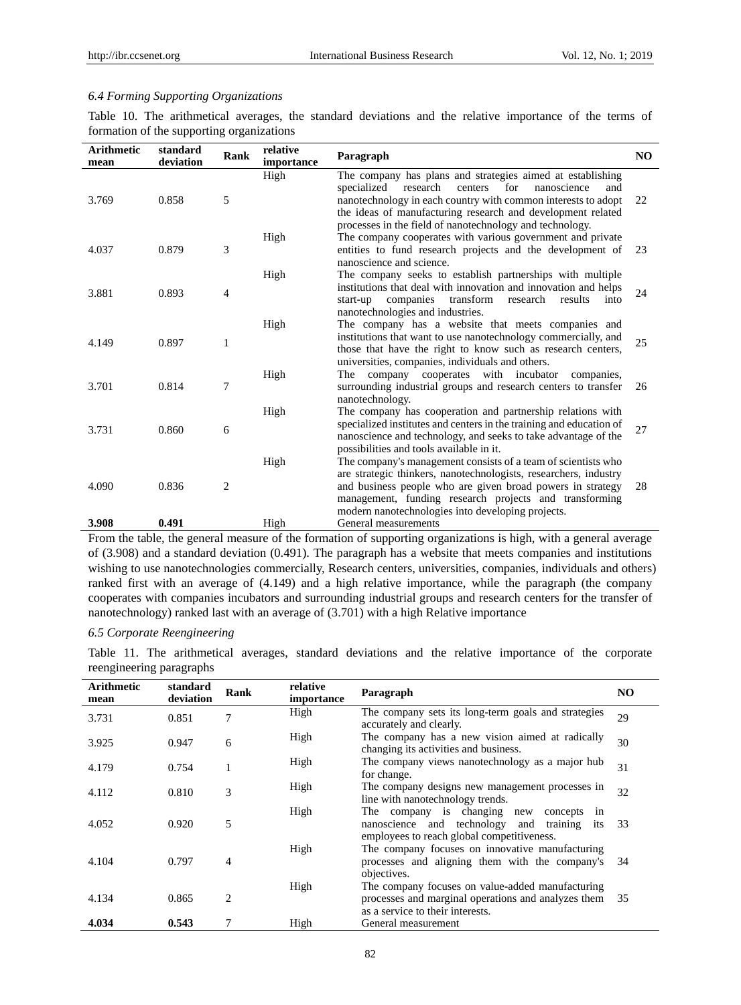## *6.4 Forming Supporting Organizations*

Table 10. The arithmetical averages, the standard deviations and the relative importance of the terms of formation of the supporting organizations

| <b>Arithmetic</b><br>mean | standard<br>deviation | Rank           | relative<br>importance | Paragraph                                                                                                                                                                                                                                                                                                                 | NO. |
|---------------------------|-----------------------|----------------|------------------------|---------------------------------------------------------------------------------------------------------------------------------------------------------------------------------------------------------------------------------------------------------------------------------------------------------------------------|-----|
| 3.769                     | 0.858                 | 5              | High                   | The company has plans and strategies aimed at establishing<br>specialized<br>research<br>for<br>centers<br>nanoscience<br>and<br>nanotechnology in each country with common interests to adopt<br>the ideas of manufacturing research and development related<br>processes in the field of nanotechnology and technology. | 22  |
| 4.037                     | 0.879                 | 3              | High                   | The company cooperates with various government and private<br>entities to fund research projects and the development of<br>nanoscience and science.                                                                                                                                                                       | 23  |
| 3.881                     | 0.893                 | $\overline{4}$ | High                   | The company seeks to establish partnerships with multiple<br>institutions that deal with innovation and innovation and helps<br>transform<br>companies<br>research<br>results<br>start-up<br>into<br>nanotechnologies and industries.                                                                                     | 24  |
| 4.149                     | 0.897                 | 1              | High                   | The company has a website that meets companies and<br>institutions that want to use nanotechnology commercially, and<br>those that have the right to know such as research centers,<br>universities, companies, individuals and others.                                                                                   | 25  |
| 3.701                     | 0.814                 | 7              | High                   | company cooperates with incubator<br>The<br>companies,<br>surrounding industrial groups and research centers to transfer<br>nanotechnology.                                                                                                                                                                               | 26  |
| 3.731                     | 0.860                 | 6              | High                   | The company has cooperation and partnership relations with<br>specialized institutes and centers in the training and education of<br>nanoscience and technology, and seeks to take advantage of the<br>possibilities and tools available in it.                                                                           | 27  |
| 4.090                     | 0.836                 | 2              | High                   | The company's management consists of a team of scientists who<br>are strategic thinkers, nanotechnologists, researchers, industry<br>and business people who are given broad powers in strategy<br>management, funding research projects and transforming<br>modern nanotechnologies into developing projects.            | 28  |
| 3.908                     | 0.491                 |                | High                   | General measurements                                                                                                                                                                                                                                                                                                      |     |

From the table, the general measure of the formation of supporting organizations is high, with a general average of (3.908) and a standard deviation (0.491). The paragraph has a website that meets companies and institutions wishing to use nanotechnologies commercially, Research centers, universities, companies, individuals and others) ranked first with an average of (4.149) and a high relative importance, while the paragraph (the company cooperates with companies incubators and surrounding industrial groups and research centers for the transfer of nanotechnology) ranked last with an average of (3.701) with a high Relative importance

# *6.5 Corporate Reengineering*

Table 11. The arithmetical averages, standard deviations and the relative importance of the corporate reengineering paragraphs

| <b>Arithmetic</b><br>mean | standard<br>deviation | Rank           | relative<br>importance | Paragraph                                                                                                                                        | NO. |
|---------------------------|-----------------------|----------------|------------------------|--------------------------------------------------------------------------------------------------------------------------------------------------|-----|
| 3.731                     | 0.851                 | 7              | High                   | The company sets its long-term goals and strategies<br>accurately and clearly.                                                                   | 29  |
| 3.925                     | 0.947                 | 6              | High                   | The company has a new vision aimed at radically<br>changing its activities and business.                                                         | 30  |
| 4.179                     | 0.754                 |                | High                   | The company views nanotechnology as a major hub<br>for change.                                                                                   | 31  |
| 4.112                     | 0.810                 | 3              | High                   | The company designs new management processes in<br>line with nanotechnology trends.                                                              | 32  |
| 4.052                     | 0.920                 | 5              | High                   | The company is changing<br>new<br>concepts in<br>and technology and training<br>nanoscience<br>its<br>employees to reach global competitiveness. | 33  |
| 4.104                     | 0.797                 | 4              | High                   | The company focuses on innovative manufacturing<br>processes and aligning them with the company's<br>objectives.                                 | 34  |
| 4.134                     | 0.865                 | $\overline{c}$ | High                   | The company focuses on value-added manufacturing<br>processes and marginal operations and analyzes them<br>as a service to their interests.      | 35  |
| 4.034                     | 0.543                 |                | High                   | General measurement                                                                                                                              |     |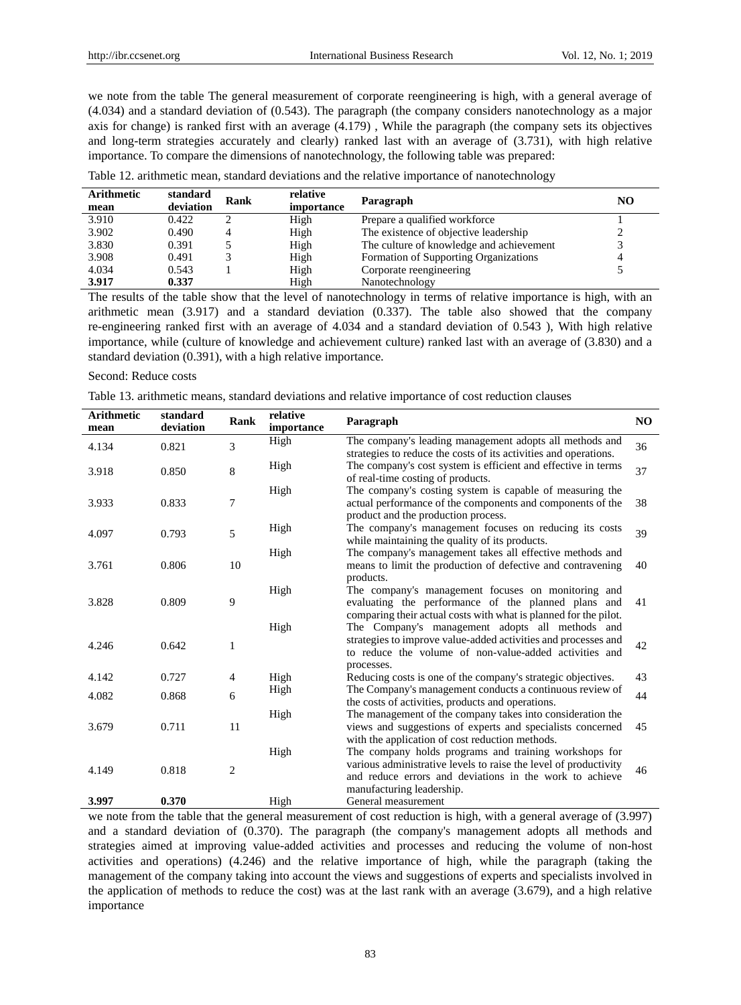we note from the table The general measurement of corporate reengineering is high, with a general average of (4.034) and a standard deviation of (0.543). The paragraph (the company considers nanotechnology as a major axis for change) is ranked first with an average (4.179) , While the paragraph (the company sets its objectives and long-term strategies accurately and clearly) ranked last with an average of (3.731), with high relative importance. To compare the dimensions of nanotechnology, the following table was prepared:

| <b>Arithmetic</b> | standard  | Rank | relative          | Paragraph                                | NO |
|-------------------|-----------|------|-------------------|------------------------------------------|----|
| mean              | deviation |      | <i>importance</i> |                                          |    |
| 3.910             | 0.422     |      | High              | Prepare a qualified workforce            |    |
| 3.902             | 0.490     |      | High              | The existence of objective leadership    |    |
| 3.830             | 0.391     |      | High              | The culture of knowledge and achievement |    |
| 3.908             | 0.491     |      | High              | Formation of Supporting Organizations    | 4  |
| 4.034             | 0.543     |      | High              | Corporate reengineering                  |    |
| 3.917             | 0.337     |      | High              | Nanotechnology                           |    |

| Table 12. arithmetic mean, standard deviations and the relative importance of nanotechnology |  |  |  |
|----------------------------------------------------------------------------------------------|--|--|--|
|----------------------------------------------------------------------------------------------|--|--|--|

The results of the table show that the level of nanotechnology in terms of relative importance is high, with an arithmetic mean (3.917) and a standard deviation (0.337). The table also showed that the company re-engineering ranked first with an average of 4.034 and a standard deviation of 0.543 ), With high relative importance, while (culture of knowledge and achievement culture) ranked last with an average of (3.830) and a standard deviation (0.391), with a high relative importance.

# Second: Reduce costs

Table 13. arithmetic means, standard deviations and relative importance of cost reduction clauses

| Arithmetic<br>mean | standard<br>deviation | Rank           | relative<br>importance | Paragraph                                                                                                                                                                                                         | NO |
|--------------------|-----------------------|----------------|------------------------|-------------------------------------------------------------------------------------------------------------------------------------------------------------------------------------------------------------------|----|
| 4.134              | 0.821                 | 3              | High                   | The company's leading management adopts all methods and<br>strategies to reduce the costs of its activities and operations.                                                                                       | 36 |
| 3.918              | 0.850                 | 8              | High                   | The company's cost system is efficient and effective in terms<br>of real-time costing of products.                                                                                                                | 37 |
| 3.933              | 0.833                 | 7              | High                   | The company's costing system is capable of measuring the<br>actual performance of the components and components of the<br>product and the production process.                                                     | 38 |
| 4.097              | 0.793                 | 5              | High                   | The company's management focuses on reducing its costs<br>while maintaining the quality of its products.                                                                                                          | 39 |
| 3.761              | 0.806                 | 10             | High                   | The company's management takes all effective methods and<br>means to limit the production of defective and contravening<br>products.                                                                              | 40 |
| 3.828              | 0.809                 | 9              | High                   | The company's management focuses on monitoring and<br>evaluating the performance of the planned plans and<br>comparing their actual costs with what is planned for the pilot.                                     | 41 |
| 4.246              | 0.642                 | 1              | High                   | The Company's management adopts all methods and<br>strategies to improve value-added activities and processes and<br>to reduce the volume of non-value-added activities and<br>processes.                         | 42 |
| 4.142              | 0.727                 | 4              | High                   | Reducing costs is one of the company's strategic objectives.                                                                                                                                                      | 43 |
| 4.082              | 0.868                 | 6              | High                   | The Company's management conducts a continuous review of<br>the costs of activities, products and operations.                                                                                                     | 44 |
| 3.679              | 0.711                 | 11             | High                   | The management of the company takes into consideration the<br>views and suggestions of experts and specialists concerned<br>with the application of cost reduction methods.                                       | 45 |
| 4.149              | 0.818                 | $\overline{2}$ | High                   | The company holds programs and training workshops for<br>various administrative levels to raise the level of productivity<br>and reduce errors and deviations in the work to achieve<br>manufacturing leadership. | 46 |
| 3.997              | 0.370                 |                | High                   | General measurement                                                                                                                                                                                               |    |

we note from the table that the general measurement of cost reduction is high, with a general average of (3.997) and a standard deviation of (0.370). The paragraph (the company's management adopts all methods and strategies aimed at improving value-added activities and processes and reducing the volume of non-host activities and operations) (4.246) and the relative importance of high, while the paragraph (taking the management of the company taking into account the views and suggestions of experts and specialists involved in the application of methods to reduce the cost) was at the last rank with an average (3.679), and a high relative importance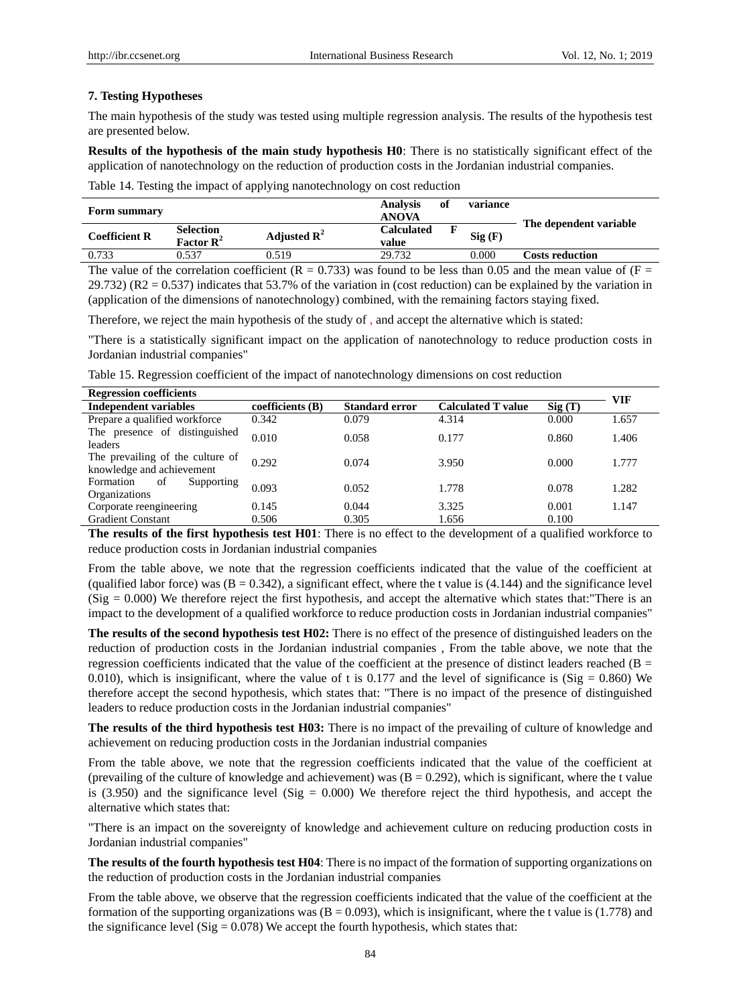## **7. Testing Hypotheses**

The main hypothesis of the study was tested using multiple regression analysis. The results of the hypothesis test are presented below.

**Results of the hypothesis of the main study hypothesis H0**: There is no statistically significant effect of the application of nanotechnology on the reduction of production costs in the Jordanian industrial companies.

Table 14. Testing the impact of applying nanotechnology on cost reduction

| Form summary         |                                          |                         | <b>Analysis</b><br><b>ANOVA</b> | Оt | variance |                        |
|----------------------|------------------------------------------|-------------------------|---------------------------------|----|----------|------------------------|
| <b>Coefficient R</b> | Selection<br><b>Factor R<sup>2</sup></b> | Adjusted $\mathbb{R}^2$ | <b>Calculated</b><br>value      |    | Sig(F)   | The dependent variable |
| 0.733                | 0.537                                    | 0.519                   | 29.732                          |    | 0.000    | <b>Costs reduction</b> |

The value of the correlation coefficient (R = 0.733) was found to be less than 0.05 and the mean value of (F =  $29.732$ ) (R2 = 0.537) indicates that 53.7% of the variation in (cost reduction) can be explained by the variation in (application of the dimensions of nanotechnology) combined, with the remaining factors staying fixed.

Therefore, we reject the main hypothesis of the study of , and accept the alternative which is stated:

"There is a statistically significant impact on the application of nanotechnology to reduce production costs in Jordanian industrial companies"

Table 15. Regression coefficient of the impact of nanotechnology dimensions on cost reduction

| <b>Regression coefficients</b>                                |                    |                       |                           |        |            |  |  |
|---------------------------------------------------------------|--------------------|-----------------------|---------------------------|--------|------------|--|--|
| <b>Independent variables</b>                                  | coefficients $(B)$ | <b>Standard error</b> | <b>Calculated T value</b> | Sig(T) | <b>VIF</b> |  |  |
| Prepare a qualified workforce                                 | 0.342              | 0.079                 | 4.314                     | 0.000  | 1.657      |  |  |
| The presence of distinguished<br>leaders                      | 0.010              | 0.058                 | 0.177                     | 0.860  | 1.406      |  |  |
| The prevailing of the culture of<br>knowledge and achievement | 0.292              | 0.074                 | 3.950                     | 0.000  | 1.777      |  |  |
| of<br>Supporting<br>Formation<br>Organizations                | 0.093              | 0.052                 | 1.778                     | 0.078  | 1.282      |  |  |
| Corporate reengineering                                       | 0.145              | 0.044                 | 3.325                     | 0.001  | 1.147      |  |  |
| <b>Gradient Constant</b>                                      | 0.506              | 0.305                 | 1.656                     | 0.100  |            |  |  |

**The results of the first hypothesis test H01**: There is no effect to the development of a qualified workforce to reduce production costs in Jordanian industrial companies

From the table above, we note that the regression coefficients indicated that the value of the coefficient at (qualified labor force) was  $(B = 0.342)$ , a significant effect, where the t value is (4.144) and the significance level  $(Sig = 0.000)$  We therefore reject the first hypothesis, and accept the alternative which states that: There is an impact to the development of a qualified workforce to reduce production costs in Jordanian industrial companies"

**The results of the second hypothesis test H02:** There is no effect of the presence of distinguished leaders on the reduction of production costs in the Jordanian industrial companies , From the table above, we note that the regression coefficients indicated that the value of the coefficient at the presence of distinct leaders reached ( $B =$ 0.010), which is insignificant, where the value of t is 0.177 and the level of significance is  $(Sig = 0.860)$  We therefore accept the second hypothesis, which states that: "There is no impact of the presence of distinguished leaders to reduce production costs in the Jordanian industrial companies"

**The results of the third hypothesis test H03:** There is no impact of the prevailing of culture of knowledge and achievement on reducing production costs in the Jordanian industrial companies

From the table above, we note that the regression coefficients indicated that the value of the coefficient at (prevailing of the culture of knowledge and achievement) was  $(B = 0.292)$ , which is significant, where the t value is (3.950) and the significance level (Sig =  $0.000$ ) We therefore reject the third hypothesis, and accept the alternative which states that:

"There is an impact on the sovereignty of knowledge and achievement culture on reducing production costs in Jordanian industrial companies"

**The results of the fourth hypothesis test H04**: There is no impact of the formation of supporting organizations on the reduction of production costs in the Jordanian industrial companies

From the table above, we observe that the regression coefficients indicated that the value of the coefficient at the formation of the supporting organizations was  $(B = 0.093)$ , which is insignificant, where the t value is (1.778) and the significance level (Sig =  $0.078$ ) We accept the fourth hypothesis, which states that: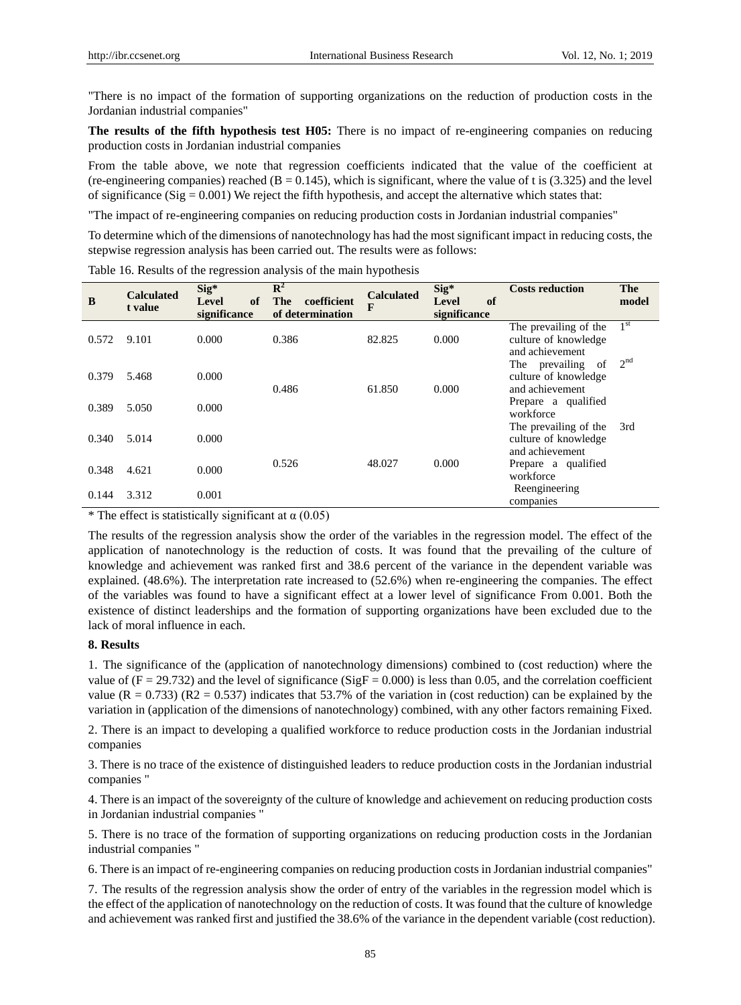"There is no impact of the formation of supporting organizations on the reduction of production costs in the Jordanian industrial companies"

**The results of the fifth hypothesis test H05:** There is no impact of re-engineering companies on reducing production costs in Jordanian industrial companies

From the table above, we note that regression coefficients indicated that the value of the coefficient at (re-engineering companies) reached  $(B = 0.145)$ , which is significant, where the value of t is (3.325) and the level of significance (Sig =  $0.001$ ) We reject the fifth hypothesis, and accept the alternative which states that:

"The impact of re-engineering companies on reducing production costs in Jordanian industrial companies"

To determine which of the dimensions of nanotechnology has had the most significant impact in reducing costs, the stepwise regression analysis has been carried out. The results were as follows:

| B     | <b>Calculated</b><br>t value | Sig*<br>of<br>Level<br>significance | $\mathbb{R}^2$<br>coefficient<br>The<br>of determination | <b>Calculated</b><br>F | $Sig^*$<br>of<br>Level<br>significance | <b>Costs reduction</b>                                           | The<br>model    |
|-------|------------------------------|-------------------------------------|----------------------------------------------------------|------------------------|----------------------------------------|------------------------------------------------------------------|-----------------|
| 0.572 | 9.101                        | 0.000                               | 0.386                                                    | 82.825                 | 0.000                                  | The prevailing of the<br>culture of knowledge<br>and achievement | 1 <sup>st</sup> |
| 0.379 | 5.468                        | 0.000                               | 0.486                                                    | 61.850                 | 0.000                                  | The prevailing<br>of<br>culture of knowledge<br>and achievement  | 2 <sup>nd</sup> |
| 0.389 | 5.050                        | 0.000                               |                                                          |                        |                                        | Prepare a qualified<br>workforce                                 |                 |
| 0.340 | 5.014                        | 0.000                               |                                                          |                        |                                        | The prevailing of the<br>culture of knowledge<br>and achievement | 3rd             |
| 0.348 | 4.621                        | 0.000                               | 0.526                                                    | 48.027                 | 0.000                                  | Prepare a qualified<br>workforce                                 |                 |
| 0.144 | 3.312                        | 0.001                               |                                                          |                        |                                        | Reengineering<br>companies                                       |                 |

Table 16. Results of the regression analysis of the main hypothesis

\* The effect is statistically significant at  $\alpha$  (0.05)

The results of the regression analysis show the order of the variables in the regression model. The effect of the application of nanotechnology is the reduction of costs. It was found that the prevailing of the culture of knowledge and achievement was ranked first and 38.6 percent of the variance in the dependent variable was explained. (48.6%). The interpretation rate increased to (52.6%) when re-engineering the companies. The effect of the variables was found to have a significant effect at a lower level of significance From 0.001. Both the existence of distinct leaderships and the formation of supporting organizations have been excluded due to the lack of moral influence in each.

#### **8. Results**

1. The significance of the (application of nanotechnology dimensions) combined to (cost reduction) where the value of  $(F = 29.732)$  and the level of significance  $(SigF = 0.000)$  is less than 0.05, and the correlation coefficient value ( $R = 0.733$ ) ( $R2 = 0.537$ ) indicates that 53.7% of the variation in (cost reduction) can be explained by the variation in (application of the dimensions of nanotechnology) combined, with any other factors remaining Fixed.

2. There is an impact to developing a qualified workforce to reduce production costs in the Jordanian industrial companies

3. There is no trace of the existence of distinguished leaders to reduce production costs in the Jordanian industrial companies "

4. There is an impact of the sovereignty of the culture of knowledge and achievement on reducing production costs in Jordanian industrial companies "

5. There is no trace of the formation of supporting organizations on reducing production costs in the Jordanian industrial companies "

6. There is an impact of re-engineering companies on reducing production costs in Jordanian industrial companies"

7. The results of the regression analysis show the order of entry of the variables in the regression model which is the effect of the application of nanotechnology on the reduction of costs. It was found that the culture of knowledge and achievement was ranked first and justified the 38.6% of the variance in the dependent variable (cost reduction).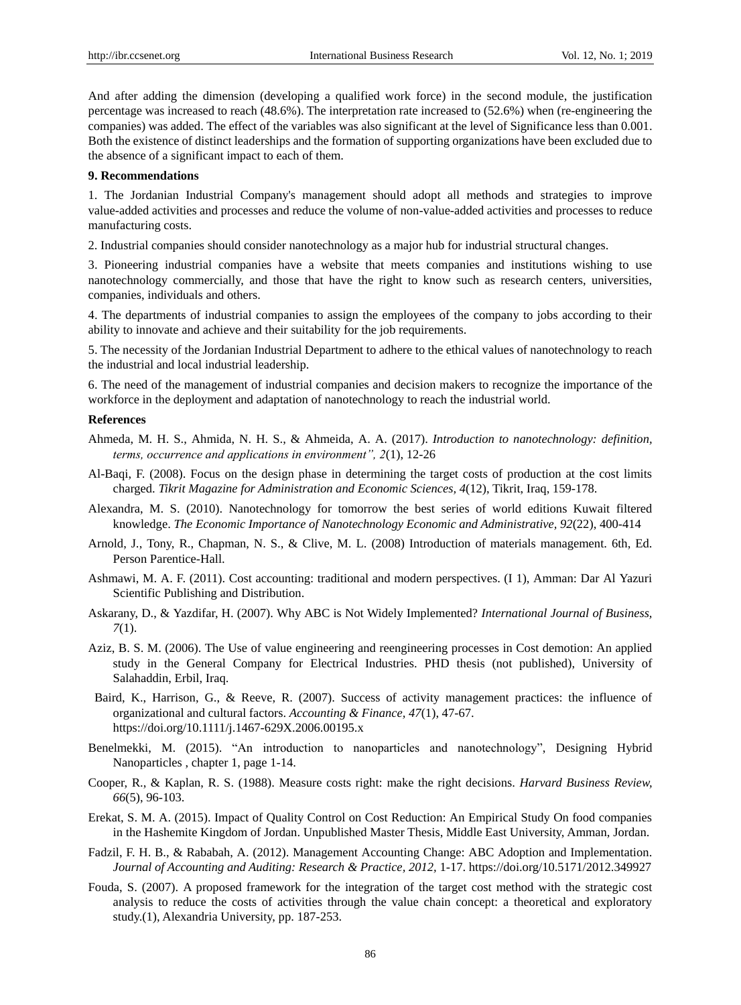And after adding the dimension (developing a qualified work force) in the second module, the justification percentage was increased to reach (48.6%). The interpretation rate increased to (52.6%) when (re-engineering the companies) was added. The effect of the variables was also significant at the level of Significance less than 0.001. Both the existence of distinct leaderships and the formation of supporting organizations have been excluded due to the absence of a significant impact to each of them.

#### **9. Recommendations**

1. The Jordanian Industrial Company's management should adopt all methods and strategies to improve value-added activities and processes and reduce the volume of non-value-added activities and processes to reduce manufacturing costs.

2. Industrial companies should consider nanotechnology as a major hub for industrial structural changes.

3. Pioneering industrial companies have a website that meets companies and institutions wishing to use nanotechnology commercially, and those that have the right to know such as research centers, universities, companies, individuals and others.

4. The departments of industrial companies to assign the employees of the company to jobs according to their ability to innovate and achieve and their suitability for the job requirements.

5. The necessity of the Jordanian Industrial Department to adhere to the ethical values of nanotechnology to reach the industrial and local industrial leadership.

6. The need of the management of industrial companies and decision makers to recognize the importance of the workforce in the deployment and adaptation of nanotechnology to reach the industrial world.

## **References**

- Ahmeda, M. H. S., Ahmida, N. H. S., & Ahmeida, A. A. (2017). *Introduction to nanotechnology: definition, terms, occurrence and applications in environment", 2*(1), 12-26
- Al-Baqi, F. (2008). Focus on the design phase in determining the target costs of production at the cost limits charged. *Tikrit Magazine for Administration and Economic Sciences, 4*(12), Tikrit, Iraq, 159-178.
- Alexandra, M. S. (2010). Nanotechnology for tomorrow the best series of world editions Kuwait filtered knowledge. *The Economic Importance of Nanotechnology Economic and Administrative, 92*(22), 400-414
- Arnold, J., Tony, R., Chapman, N. S., & Clive, M. L. (2008) Introduction of materials management. 6th, Ed. Person Parentice-Hall.
- Ashmawi, M. A. F. (2011). Cost accounting: traditional and modern perspectives. (I 1), Amman: Dar Al Yazuri Scientific Publishing and Distribution.
- Askarany, D., & Yazdifar, H. (2007). Why ABC is Not Widely Implemented? *International Journal of Business, 7*(1).
- Aziz, B. S. M. (2006). The Use of value engineering and reengineering processes in Cost demotion: An applied study in the General Company for Electrical Industries. PHD thesis (not published), University of Salahaddin, Erbil, Iraq.
- Baird, K., Harrison, G., & Reeve, R. (2007). Success of activity management practices: the influence of organizational and cultural factors. *Accounting & Finance, 47*(1), 47-67. https://doi.org/10.1111/j.1467-629X.2006.00195.x
- Benelmekki, M. (2015). "An introduction to nanoparticles and nanotechnology", Designing Hybrid Nanoparticles , chapter 1, page 1-14.
- Cooper, R., & Kaplan, R. S. (1988). Measure costs right: make the right decisions. *Harvard Business Review, 66*(5), 96-103.
- Erekat, S. M. A. (2015). Impact of Quality Control on Cost Reduction: An Empirical Study On food companies in the Hashemite Kingdom of Jordan. Unpublished Master Thesis, Middle East University, Amman, Jordan.
- Fadzil, F. H. B., & Rababah, A. (2012). Management Accounting Change: ABC Adoption and Implementation. *Journal of Accounting and Auditing: Research & Practice, 2012,* 1-17. https://doi.org/10.5171/2012.349927
- Fouda, S. (2007). A proposed framework for the integration of the target cost method with the strategic cost analysis to reduce the costs of activities through the value chain concept: a theoretical and exploratory study.(1), Alexandria University, pp. 187-253.